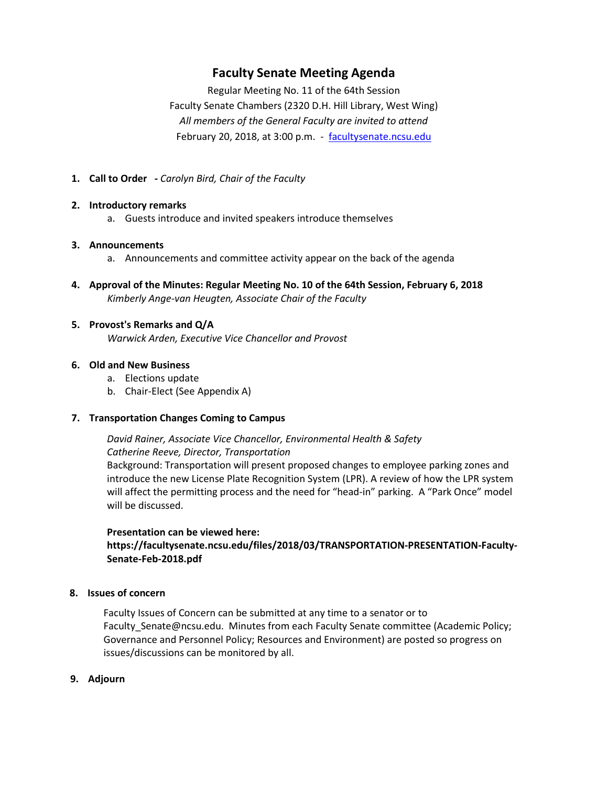## **Faculty Senate Meeting Agenda**

Regular Meeting No. 11 of the 64th Session Faculty Senate Chambers (2320 D.H. Hill Library, West Wing) *All members of the General Faculty are invited to attend* February 20, 2018, at 3:00 p.m. - [facultysenate.ncsu.edu](https://facultysenate.ncsu.edu/)

**1. Call to Order -** *Carolyn Bird, Chair of the Faculty*

#### **2. Introductory remarks**

a. Guests introduce and invited speakers introduce themselves

### **3. Announcements**

- a. Announcements and committee activity appear on the back of the agenda
- **4. Approval of the Minutes: Regular Meeting No. 10 of the 64th Session, February 6, 2018** *Kimberly Ange-van Heugten, Associate Chair of the Faculty*
- **5. Provost's Remarks and Q/A** *Warwick Arden, Executive Vice Chancellor and Provost*

### **6. Old and New Business**

- a. Elections update
- b. Chair-Elect (See Appendix A)

#### **7. Transportation Changes Coming to Campus**

## *David Rainer, Associate Vice Chancellor, Environmental Health & Safety Catherine Reeve, Director, Transportation*

Background: Transportation will present proposed changes to employee parking zones and introduce the new License Plate Recognition System (LPR). A review of how the LPR system will affect the permitting process and the need for "head-in" parking. A "Park Once" model will be discussed.

#### **Presentation can be viewed here:**

## **https://facultysenate.ncsu.edu/files/2018/03/TRANSPORTATION-PRESENTATION-Faculty-Senate-Feb-2018.pdf**

#### **8. Issues of concern**

Faculty Issues of Concern can be submitted at any time to a senator or to Faculty\_Senate@ncsu.edu. Minutes from each Faculty Senate committee (Academic Policy; Governance and Personnel Policy; Resources and Environment) are posted so progress on issues/discussions can be monitored by all.

**9. Adjourn**